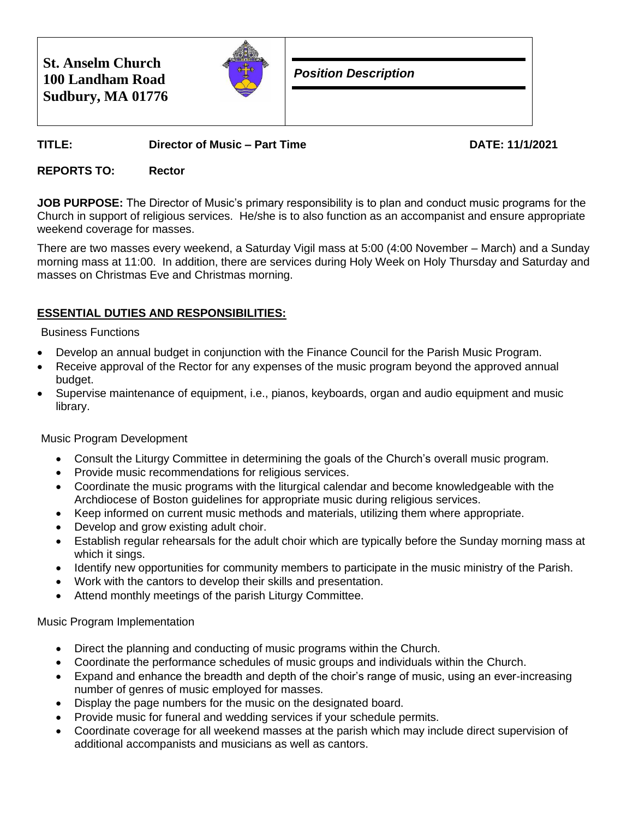| <b>St. Anselm Church</b><br>100 Landham Road<br>Sudbury, MA 01776 |  | <b>Position Description</b> |
|-------------------------------------------------------------------|--|-----------------------------|
|-------------------------------------------------------------------|--|-----------------------------|

# **TITLE: Director of Music – Part Time DATE: 11/1/2021**

### **REPORTS TO: Rector**

**JOB PURPOSE:** The Director of Music's primary responsibility is to plan and conduct music programs for the Church in support of religious services. He/she is to also function as an accompanist and ensure appropriate weekend coverage for masses.

There are two masses every weekend, a Saturday Vigil mass at 5:00 (4:00 November – March) and a Sunday morning mass at 11:00. In addition, there are services during Holy Week on Holy Thursday and Saturday and masses on Christmas Eve and Christmas morning.

## **ESSENTIAL DUTIES AND RESPONSIBILITIES:**

#### Business Functions

- Develop an annual budget in conjunction with the Finance Council for the Parish Music Program.
- Receive approval of the Rector for any expenses of the music program beyond the approved annual budget.
- Supervise maintenance of equipment, i.e., pianos, keyboards, organ and audio equipment and music library.

### Music Program Development

- Consult the Liturgy Committee in determining the goals of the Church's overall music program.
- Provide music recommendations for religious services.
- Coordinate the music programs with the liturgical calendar and become knowledgeable with the Archdiocese of Boston guidelines for appropriate music during religious services.
- Keep informed on current music methods and materials, utilizing them where appropriate.
- Develop and grow existing adult choir.
- Establish regular rehearsals for the adult choir which are typically before the Sunday morning mass at which it sings.
- Identify new opportunities for community members to participate in the music ministry of the Parish.
- Work with the cantors to develop their skills and presentation.
- Attend monthly meetings of the parish Liturgy Committee.

### Music Program Implementation

- Direct the planning and conducting of music programs within the Church.
- Coordinate the performance schedules of music groups and individuals within the Church.
- Expand and enhance the breadth and depth of the choir's range of music, using an ever-increasing number of genres of music employed for masses.
- Display the page numbers for the music on the designated board.
- Provide music for funeral and wedding services if your schedule permits.
- Coordinate coverage for all weekend masses at the parish which may include direct supervision of additional accompanists and musicians as well as cantors.